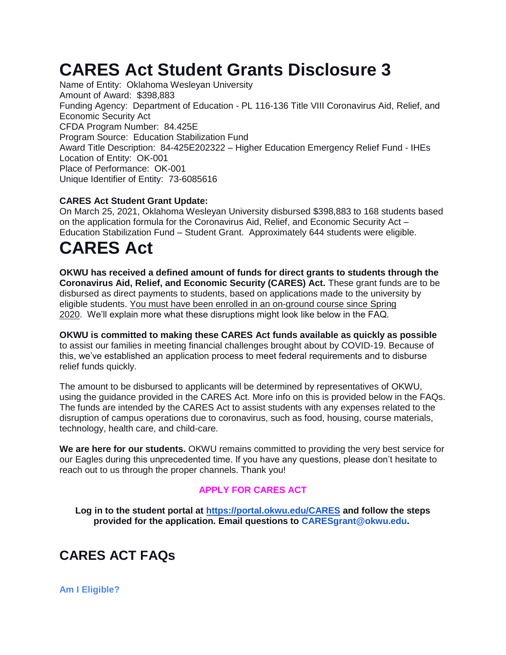# **CARES Act Student Grants Disclosure 3**

Name of Entity: Oklahoma Wesleyan University Amount of Award: \$398,883 Funding Agency: Department of Education - PL 116-136 Title VIII Coronavirus Aid, Relief, and Economic Security Act CFDA Program Number: 84.425E Program Source: Education Stabilization Fund Award Title Description: 84-425E202322 – Higher Education Emergency Relief Fund - IHEs Location of Entity: OK-001 Place of Performance: OK-001 Unique Identifier of Entity: 73-6085616

## **CARES Act Student Grant Update:**

On March 25, 2021, Oklahoma Wesleyan University disbursed \$398,883 to 168 students based on the application formula for the Coronavirus Aid, Relief, and Economic Security Act – Education Stabilization Fund – Student Grant. Approximately 644 students were eligible.

# **CARES Act**

**OKWU has received a defined amount of funds for direct grants to students through the Coronavirus Aid, Relief, and Economic Security (CARES) Act.** These grant funds are to be disbursed as direct payments to students, based on applications made to the university by eligible students. You must have been enrolled in an on-ground course since Spring 2020. We'll explain more what these disruptions might look like below in the FAQ.

**OKWU is committed to making these CARES Act funds available as quickly as possible** to assist our families in meeting financial challenges brought about by COVID-19. Because of this, we've established an application process to meet federal requirements and to disburse relief funds quickly.

The amount to be disbursed to applicants will be determined by representatives of OKWU, using the guidance provided in the CARES Act. More info on this is provided below in the FAQs. The funds are intended by the CARES Act to assist students with any expenses related to the disruption of campus operations due to coronavirus, such as food, housing, course materials, technology, health care, and child-care.

**We are here for our students.** OKWU remains committed to providing the very best service for our Eagles during this unprecedented time. If you have any questions, please don't hesitate to reach out to us through the proper channels. Thank you!

### **APPLY FOR CARES ACT**

**Log in to the student portal at<https://portal.okwu.edu/CARES> and follow the steps provided for the application. Email questions to CARESgrant@okwu.edu.**

## **CARES ACT FAQs**

**Am I Eligible?**